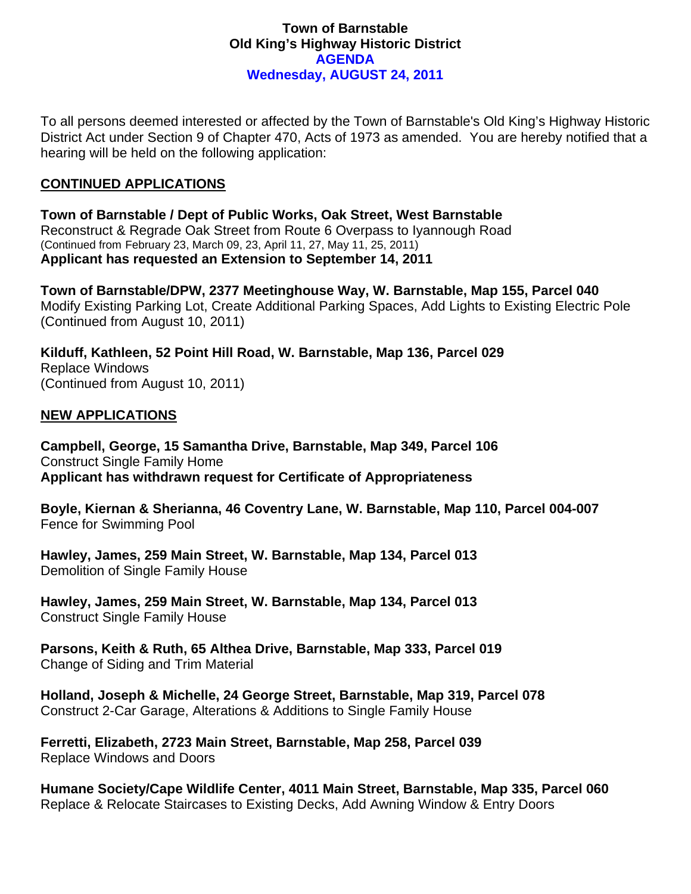### **Town of Barnstable Old King's Highway Historic District AGENDA Wednesday, AUGUST 24, 2011**

To all persons deemed interested or affected by the Town of Barnstable's Old King's Highway Historic District Act under Section 9 of Chapter 470, Acts of 1973 as amended. You are hereby notified that a hearing will be held on the following application:

# **CONTINUED APPLICATIONS**

**Town of Barnstable / Dept of Public Works, Oak Street, West Barnstable**  Reconstruct & Regrade Oak Street from Route 6 Overpass to Iyannough Road (Continued from February 23, March 09, 23, April 11, 27, May 11, 25, 2011) **Applicant has requested an Extension to September 14, 2011** 

**Town of Barnstable/DPW, 2377 Meetinghouse Way, W. Barnstable, Map 155, Parcel 040**  Modify Existing Parking Lot, Create Additional Parking Spaces, Add Lights to Existing Electric Pole (Continued from August 10, 2011)

**Kilduff, Kathleen, 52 Point Hill Road, W. Barnstable, Map 136, Parcel 029**  Replace Windows (Continued from August 10, 2011)

## **NEW APPLICATIONS**

**Campbell, George, 15 Samantha Drive, Barnstable, Map 349, Parcel 106**  Construct Single Family Home **Applicant has withdrawn request for Certificate of Appropriateness** 

**Boyle, Kiernan & Sherianna, 46 Coventry Lane, W. Barnstable, Map 110, Parcel 004-007**  Fence for Swimming Pool

**Hawley, James, 259 Main Street, W. Barnstable, Map 134, Parcel 013**  Demolition of Single Family House

**Hawley, James, 259 Main Street, W. Barnstable, Map 134, Parcel 013**  Construct Single Family House

**Parsons, Keith & Ruth, 65 Althea Drive, Barnstable, Map 333, Parcel 019**  Change of Siding and Trim Material

**Holland, Joseph & Michelle, 24 George Street, Barnstable, Map 319, Parcel 078**  Construct 2-Car Garage, Alterations & Additions to Single Family House

**Ferretti, Elizabeth, 2723 Main Street, Barnstable, Map 258, Parcel 039**  Replace Windows and Doors

**Humane Society/Cape Wildlife Center, 4011 Main Street, Barnstable, Map 335, Parcel 060**  Replace & Relocate Staircases to Existing Decks, Add Awning Window & Entry Doors